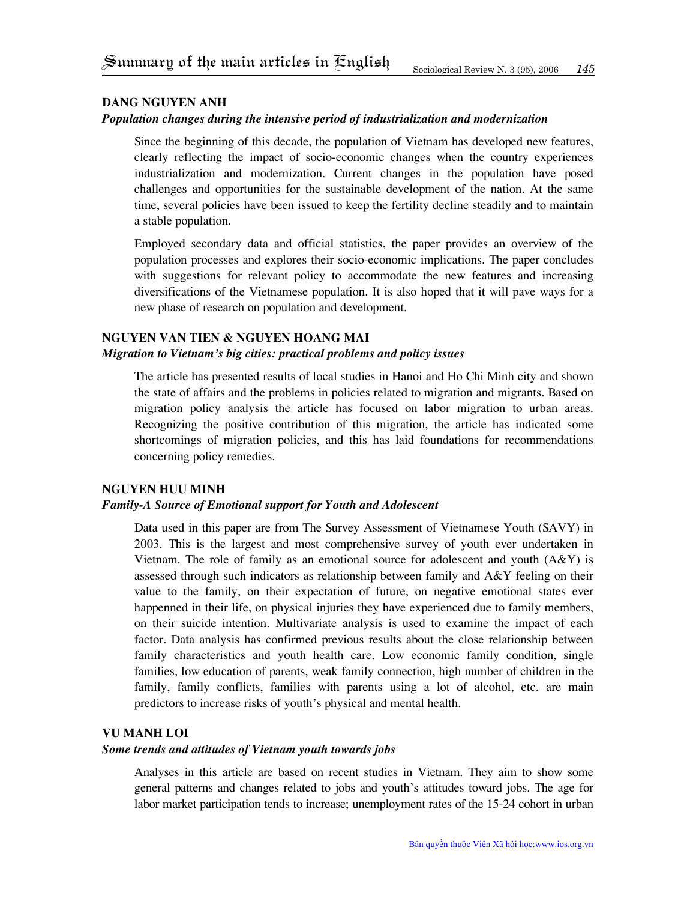## **Dang Nguyen Anh**

## *Population changes during the intensive period of industrialization and modernization*

Since the beginning of this decade, the population of Vietnam has developed new features, clearly reflecting the impact of socio-economic changes when the country experiences industrialization and modernization. Current changes in the population have posed challenges and opportunities for the sustainable development of the nation. At the same time, several policies have been issued to keep the fertility decline steadily and to maintain a stable population.

Employed secondary data and official statistics, the paper provides an overview of the population processes and explores their socio-economic implications. The paper concludes with suggestions for relevant policy to accommodate the new features and increasing diversifications of the Vietnamese population. It is also hoped that it will pave ways for a new phase of research on population and development.

# **nguyen van tien & nguyen hoang mai**

## *Migration to Vietnam's big cities: practical problems and policy issues*

The article has presented results of local studies in Hanoi and Ho Chi Minh city and shown the state of affairs and the problems in policies related to migration and migrants. Based on migration policy analysis the article has focused on labor migration to urban areas. Recognizing the positive contribution of this migration, the article has indicated some shortcomings of migration policies, and this has laid foundations for recommendations concerning policy remedies.

### **Nguyen Huu Minh**

## *Family-A Source of Emotional support for Youth and Adolescent*

Data used in this paper are from The Survey Assessment of Vietnamese Youth (SAVY) in 2003. This is the largest and most comprehensive survey of youth ever undertaken in Vietnam. The role of family as an emotional source for adolescent and youth  $(A\&Y)$  is assessed through such indicators as relationship between family and A&Y feeling on their value to the family, on their expectation of future, on negative emotional states ever happenned in their life, on physical injuries they have experienced due to family members, on their suicide intention. Multivariate analysis is used to examine the impact of each factor. Data analysis has confirmed previous results about the close relationship between family characteristics and youth health care. Low economic family condition, single families, low education of parents, weak family connection, high number of children in the family, family conflicts, families with parents using a lot of alcohol, etc. are main predictors to increase risks of youth's physical and mental health.

#### **vu manh loi**

## *Some trends and attitudes of Vietnam youth towards jobs*

Analyses in this article are based on recent studies in Vietnam. They aim to show some general patterns and changes related to jobs and youth's attitudes toward jobs. The age for labor market participation tends to increase; unemployment rates of the 15-24 cohort in urban